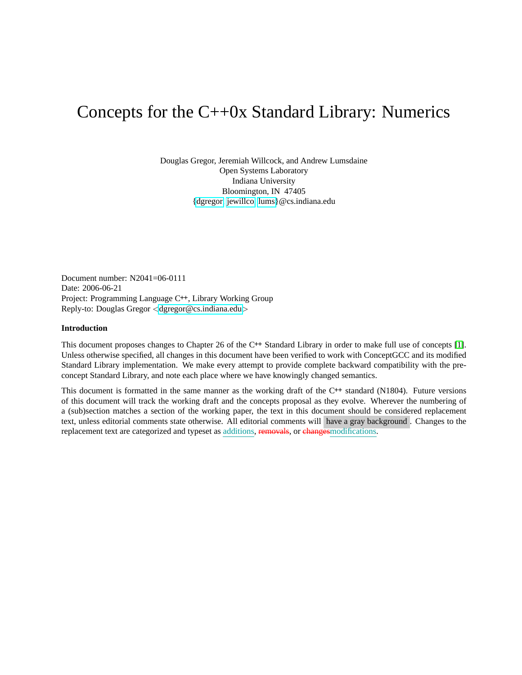# Concepts for the C++0x Standard Library: Numerics

Douglas Gregor, Jeremiah Willcock, and Andrew Lumsdaine Open Systems Laboratory Indiana University Bloomington, IN 47405 [{dgregor,](mailto:dgregor@cs.indiana.edu) [jewillco,](mailto:jewillco@cs.indiana.edu) [lums}](mailto:lums@cs.indiana.edu)@cs.indiana.edu

Document number: N2041=06-0111 Date: 2006-06-21 Project: Programming Language C**++**, Library Working Group Reply-to: Douglas Gregor <[dgregor@cs.indiana.edu](mailto:dgregor@cs.indiana.edu)>

# **Introduction**

This document proposes changes to Chapter 26 of the C**++** Standard Library in order to make full use of concepts [\[1\]](#page-4-0). Unless otherwise specified, all changes in this document have been verified to work with ConceptGCC and its modified Standard Library implementation. We make every attempt to provide complete backward compatibility with the preconcept Standard Library, and note each place where we have knowingly changed semantics.

This document is formatted in the same manner as the working draft of the C**++** standard (N1804). Future versions of this document will track the working draft and the concepts proposal as they evolve. Wherever the numbering of a (sub)section matches a section of the working paper, the text in this document should be considered replacement text, unless editorial comments state otherwise. All editorial comments will have a gray background . Changes to the replacement text are categorized and typeset as additions, removals, or changesmodifications.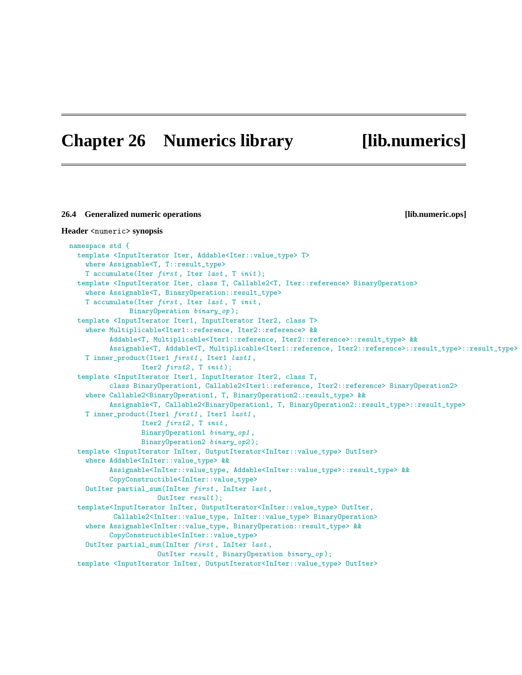# **Chapter 26 Numerics library [lib.numerics]**

```
26.4 Generalized numeric operations [lib.numeric.ops]
Header <numeric> synopsis
 namespace std {
   template <InputIterator Iter, Addable<Iter::value_type> T>
     where Assignable<T, T::result_type>
     T accumulate(Iter first, Iter last, T init);
   template <InputIterator Iter, class T, Callable2<T, Iter::reference> BinaryOperation>
     where Assignable<T, BinaryOperation::result_type>
     T accumulate(Iter first, Iter last, T init,
                BinaryOperation binary_op );
   template <InputIterator Iter1, InputIterator Iter2, class T>
     where Multiplicable<Iter1::reference, Iter2::reference> &&
           Addable<T, Multiplicable<Iter1::reference, Iter2::reference>::result_type> &&
           Assignable<T, Addable<T, Multiplicable<Iter1::reference, Iter2::reference>::result_type>::result_type>
     T inner_product(Iter1 first1 , Iter1 last1 ,
                   Iter2 first2, T init);
   template <InputIterator Iter1, InputIterator Iter2, class T,
           class BinaryOperation1, Callable2<Iter1::reference, Iter2::reference> BinaryOperation2>
     where Callable2<BinaryOperation1, T, BinaryOperation2::result_type> &&
           Assignable<T, Callable2<BinaryOperation1, T, BinaryOperation2::result_type>::result_type>
     T inner_product(Iter1 first1 , Iter1 last1 ,
                   Iter2 first2, T init,
                   BinaryOperation1 binary_op1 ,
                   BinaryOperation2 binary_op2 );
   template <InputIterator InIter, OutputIterator<InIter::value_type> OutIter>
     where Addable<InIter::value_type> &&
           Assignable<InIter::value_type, Addable<InIter::value_type>::result_type> &&
           CopyConstructible<InIter::value_type>
     OutIter partial_sum(InIter first, InIter last,
                       OutIter result );
   template<InputIterator InIter, OutputIterator<InIter::value_type> OutIter,
            Callable2<InIter::value_type, InIter::value_type> BinaryOperation>
     where Assignable<InIter::value_type, BinaryOperation::result_type> &&
           CopyConstructible<InIter::value_type>
     OutIter partial_sum(InIter first , InIter last ,
                       OutIter result , BinaryOperation binary_op );
   template <InputIterator InIter, OutputIterator<InIter::value_type> OutIter>
```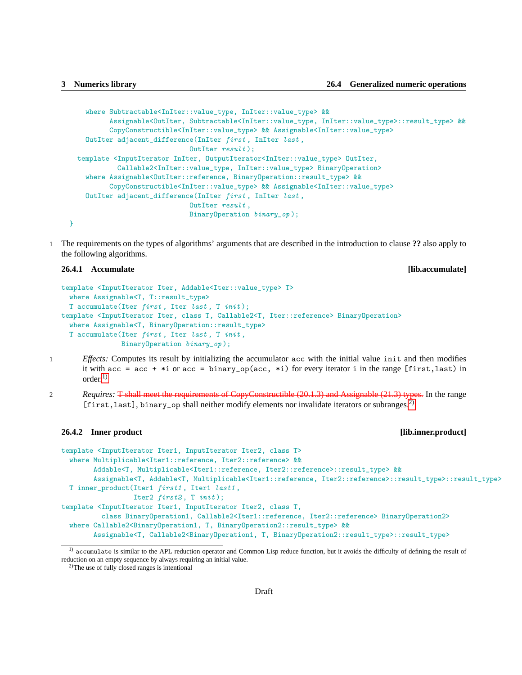```
where Subtractable<InIter::value_type, InIter::value_type> &&
        Assignable<OutIter, Subtractable<InIter::value_type, InIter::value_type>::result_type> &&
        CopyConstructible<InIter::value_type> && Assignable<InIter::value_type>
  OutIter adjacent_difference(InIter first , InIter last ,
                            OutIter result);
template <InputIterator InIter, OutputIterator<InIter::value_type> OutIter,
          Callable2<InIter::value_type, InIter::value_type> BinaryOperation>
  where Assignable<OutIter::reference, BinaryOperation::result_type> &&
        CopyConstructible<InIter::value_type> && Assignable<InIter::value_type>
  OutIter adjacent_difference(InIter first , InIter last ,
                            OutIter result,
                            BinaryOperation binary_op );
```
1 The requirements on the types of algorithms' arguments that are described in the introduction to clause **??** also apply to the following algorithms.

# **26.4.1 Accumulate [lib.accumulate]**

}

```
template <InputIterator Iter, Addable<Iter::value_type> T>
 where Assignable<T, T::result_type>
 T accumulate(Iter first, Iter last, T init);
template <InputIterator Iter, class T, Callable2<T, Iter::reference> BinaryOperation>
  where Assignable<T, BinaryOperation::result_type>
 T accumulate(Iter first, Iter last, T init,
              BinaryOperation binary_op );
```
- 1 *Effects:* Computes its result by initializing the accumulator acc with the initial value init and then modifies it with acc = acc +  $*$ i or acc = binary\_op(acc,  $*$ i) for every iterator i in the range [first,last) in  $\alpha$ rder<sup>[1\)](#page-2-0)</sup>
- 2 *Requires:* T shall meet the requirements of CopyConstructible (20.1.3) and Assignable (21.3) types. In the range [first, last], binary\_op shall neither modify elements nor invalidate iterators or subranges.<sup>[2\)](#page-2-1)</sup>

### **26.4.2 Inner product [lib.inner.product]**

```
template <InputIterator Iter1, InputIterator Iter2, class T>
 where Multiplicable<Iter1::reference, Iter2::reference> &&
        Addable<T, Multiplicable<Iter1::reference, Iter2::reference>::result_type> &&
        Assignable<T, Addable<T, Multiplicable<Iter1::reference, Iter2::reference>::result_type>::result_type>
 T inner_product(Iter1 first1 , Iter1 last1 ,
                  Iter2 first2, T init);
template <InputIterator Iter1, InputIterator Iter2, class T,
          class BinaryOperation1, Callable2<Iter1::reference, Iter2::reference> BinaryOperation2>
 where Callable2<BinaryOperation1, T, BinaryOperation2::result_type> &&
        Assignable<T, Callable2<BinaryOperation1, T, BinaryOperation2::result_type>::result_type>
```
<span id="page-2-0"></span><sup>&</sup>lt;sup>1)</sup> accumulate is similar to the APL reduction operator and Common Lisp reduce function, but it avoids the difficulty of defining the result of reduction on an empty sequence by always requiring an initial value.

<span id="page-2-1"></span><sup>2)</sup>The use of fully closed ranges is intentional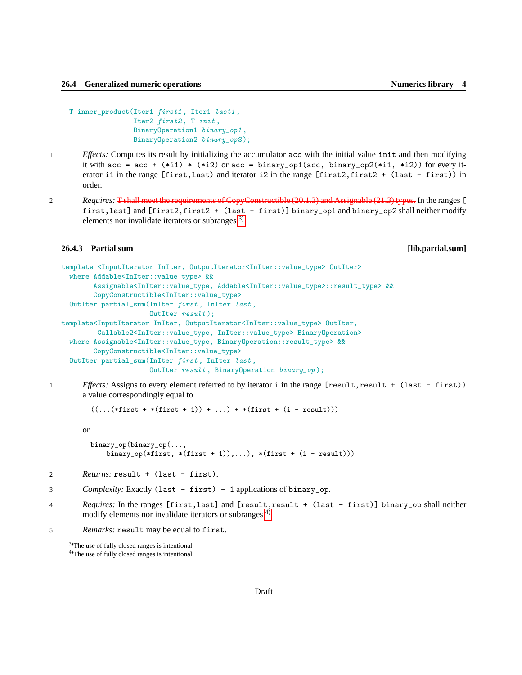```
T inner_product(Iter1 first1 , Iter1 last1 ,
                Iter2 first2, T init,
                BinaryOperation1 binary_op1 ,
                BinaryOperation2 binary_op2);
```
- 1 *Effects:* Computes its result by initializing the accumulator acc with the initial value init and then modifying it with acc = acc +  $(*i1) * (*i2)$  or acc = binary\_op1(acc, binary\_op2(\*i1, \*i2)) for every iterator i1 in the range [first,last) and iterator i2 in the range [first2,first2 + (last - first)) in order.
- 2 *Requires:* T shall meet the requirements of CopyConstructible (20.1.3) and Assignable (21.3) types. In the ranges [ first,last] and [first2,first2 + (last - first)] binary\_op1 and binary\_op2 shall neither modify elements nor invalidate iterators or subranges.<sup>[3\)](#page-3-0)</sup>

# **26.4.3 Partial sum [lib.partial.sum]**

```
template <InputIterator InIter, OutputIterator<InIter::value_type> OutIter>
  where Addable<InIter::value_type> &&
        Assignable<InIter::value_type, Addable<InIter::value_type>::result_type> &&
        CopyConstructible<InIter::value_type>
  OutIter partial_sum(InIter first , InIter last ,
                     OutIter result);
template<InputIterator InIter, OutputIterator<InIter::value_type> OutIter,
         Callable2<InIter::value_type, InIter::value_type> BinaryOperation>
  where Assignable<InIter::value_type, BinaryOperation::result_type> &&
        CopyConstructible<InIter::value_type>
  OutIter partial_sum(InIter first , InIter last ,
                      OutIter result , BinaryOperation binary_op );
```
1 *Effects:* Assigns to every element referred to by iterator i in the range [result,result + (last - first)) a value correspondingly equal to

 $((...(*first + *(first + 1)) + ...) + *(first + (i - result)))$ 

or

```
binary_op(binary_op(...,
    binary_op(*first, *(first + 1)),...), *(first + (i - result)))
```

```
2 Returns: result + (last - first).
```

```
3 Complexity: Exactly (last - first) - 1 applications of binary_op.
```
4 *Requires:* In the ranges [first,last] and [result,result + (last - first)] binary\_op shall neither modify elements nor invalidate iterators or subranges.<sup>[4\)](#page-3-1)</sup>

5 *Remarks:* result may be equal to first.

<span id="page-3-0"></span><sup>3)</sup>The use of fully closed ranges is intentional

<span id="page-3-1"></span><sup>4)</sup>The use of fully closed ranges is intentional.